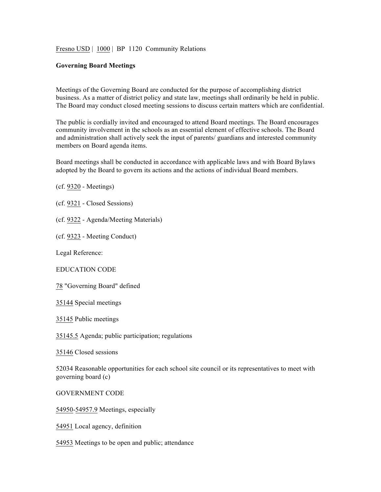Fresno USD | 1000 | BP 1120 Community Relations

## **Governing Board Meetings**

Meetings of the Governing Board are conducted for the purpose of accomplishing district business. As a matter of district policy and state law, meetings shall ordinarily be held in public. The Board may conduct closed meeting sessions to discuss certain matters which are confidential.

The public is cordially invited and encouraged to attend Board meetings. The Board encourages community involvement in the schools as an essential element of effective schools. The Board and administration shall actively seek the input of parents/ guardians and interested community members on Board agenda items.

Board meetings shall be conducted in accordance with applicable laws and with Board Bylaws adopted by the Board to govern its actions and the actions of individual Board members.

```
(cf. 9320 - Meetings)
```
- (cf. 9321 Closed Sessions)
- (cf. 9322 Agenda/Meeting Materials)
- (cf. 9323 Meeting Conduct)

Legal Reference:

EDUCATION CODE

78 "Governing Board" defined

35144 Special meetings

35145 Public meetings

35145.5 Agenda; public participation; regulations

35146 Closed sessions

52034 Reasonable opportunities for each school site council or its representatives to meet with governing board (c)

GOVERNMENT CODE

54950-54957.9 Meetings, especially

54951 Local agency, definition

54953 Meetings to be open and public; attendance